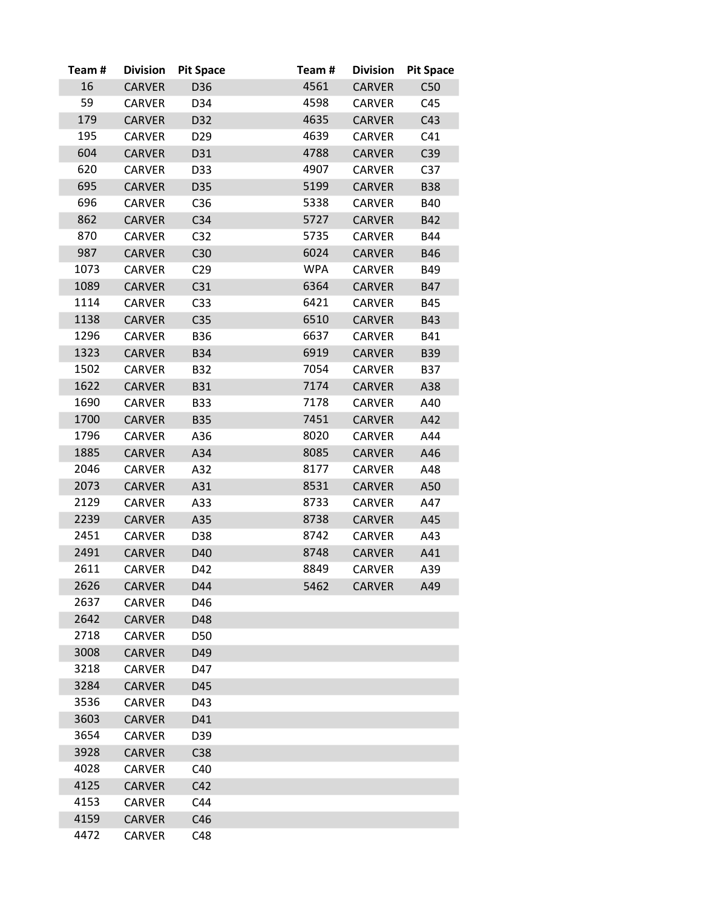| Team# | <b>Division</b> | <b>Pit Space</b> | Team#      | <b>Division</b> | <b>Pit Space</b> |
|-------|-----------------|------------------|------------|-----------------|------------------|
| 16    | <b>CARVER</b>   | D36              | 4561       | <b>CARVER</b>   | C50              |
| 59    | <b>CARVER</b>   | D34              | 4598       | CARVER          | C45              |
| 179   | <b>CARVER</b>   | D32              | 4635       | <b>CARVER</b>   | C43              |
| 195   | CARVER          | D <sub>29</sub>  | 4639       | <b>CARVER</b>   | C41              |
| 604   | <b>CARVER</b>   | D31              | 4788       | <b>CARVER</b>   | C39              |
| 620   | <b>CARVER</b>   | D33              | 4907       | <b>CARVER</b>   | C <sub>37</sub>  |
| 695   | <b>CARVER</b>   | D35              | 5199       | <b>CARVER</b>   | <b>B38</b>       |
| 696   | <b>CARVER</b>   | C <sub>36</sub>  | 5338       | <b>CARVER</b>   | <b>B40</b>       |
| 862   | <b>CARVER</b>   | C34              | 5727       | <b>CARVER</b>   | B42              |
| 870   | <b>CARVER</b>   | C <sub>32</sub>  | 5735       | <b>CARVER</b>   | B44              |
| 987   | <b>CARVER</b>   | C30              | 6024       | <b>CARVER</b>   | <b>B46</b>       |
| 1073  | <b>CARVER</b>   | C <sub>29</sub>  | <b>WPA</b> | <b>CARVER</b>   | B49              |
| 1089  | <b>CARVER</b>   | C31              | 6364       | <b>CARVER</b>   | <b>B47</b>       |
| 1114  | <b>CARVER</b>   | C <sub>33</sub>  | 6421       | <b>CARVER</b>   | <b>B45</b>       |
| 1138  | <b>CARVER</b>   | C <sub>35</sub>  | 6510       | <b>CARVER</b>   | <b>B43</b>       |
| 1296  | <b>CARVER</b>   | <b>B36</b>       | 6637       | CARVER          | B41              |
| 1323  | <b>CARVER</b>   | <b>B34</b>       | 6919       | <b>CARVER</b>   | <b>B39</b>       |
| 1502  | <b>CARVER</b>   | <b>B32</b>       | 7054       | <b>CARVER</b>   | <b>B37</b>       |
| 1622  | <b>CARVER</b>   | <b>B31</b>       | 7174       | <b>CARVER</b>   | A38              |
| 1690  | <b>CARVER</b>   | <b>B33</b>       | 7178       | <b>CARVER</b>   | A40              |
| 1700  | <b>CARVER</b>   | <b>B35</b>       | 7451       | <b>CARVER</b>   | A42              |
| 1796  | CARVER          | A36              | 8020       | <b>CARVER</b>   | A44              |
| 1885  | <b>CARVER</b>   | A34              | 8085       | <b>CARVER</b>   | A46              |
| 2046  | <b>CARVER</b>   | A32              | 8177       | <b>CARVER</b>   | A48              |
| 2073  | <b>CARVER</b>   | A31              | 8531       | <b>CARVER</b>   | A50              |
| 2129  | <b>CARVER</b>   | A33              | 8733       | <b>CARVER</b>   | A47              |
| 2239  | <b>CARVER</b>   | A35              | 8738       | <b>CARVER</b>   | A45              |
| 2451  | <b>CARVER</b>   | D38              | 8742       | CARVER          | A43              |
| 2491  | <b>CARVER</b>   | D40              | 8748       | <b>CARVER</b>   | A41              |
| 2611  | <b>CARVER</b>   | D42              | 8849       | <b>CARVER</b>   | A39              |
| 2626  | <b>CARVER</b>   | D44              | 5462       | <b>CARVER</b>   | A49              |
| 2637  | <b>CARVER</b>   | D46              |            |                 |                  |
| 2642  | <b>CARVER</b>   | D48              |            |                 |                  |
| 2718  | <b>CARVER</b>   | D50              |            |                 |                  |
| 3008  | <b>CARVER</b>   | D49              |            |                 |                  |
| 3218  | <b>CARVER</b>   | D47              |            |                 |                  |
| 3284  | <b>CARVER</b>   | D45              |            |                 |                  |
| 3536  | <b>CARVER</b>   | D43              |            |                 |                  |
| 3603  | <b>CARVER</b>   | D41              |            |                 |                  |
| 3654  | <b>CARVER</b>   | D39              |            |                 |                  |
| 3928  | <b>CARVER</b>   | C38              |            |                 |                  |
| 4028  | <b>CARVER</b>   | C40              |            |                 |                  |
| 4125  | <b>CARVER</b>   | C42              |            |                 |                  |
| 4153  | <b>CARVER</b>   | C44              |            |                 |                  |
| 4159  | <b>CARVER</b>   | C46              |            |                 |                  |
| 4472  | <b>CARVER</b>   | C48              |            |                 |                  |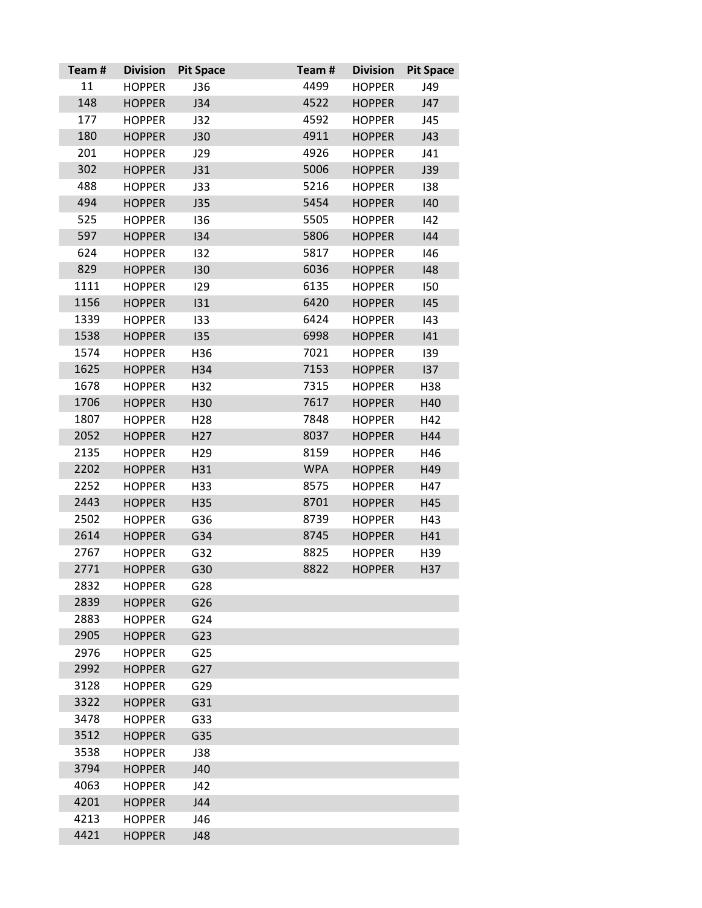| Team# | <b>Division</b> | <b>Pit Space</b> | Team#      | <b>Division</b> | <b>Pit Space</b> |
|-------|-----------------|------------------|------------|-----------------|------------------|
| 11    | <b>HOPPER</b>   | J36              | 4499       | <b>HOPPER</b>   | J49              |
| 148   | <b>HOPPER</b>   | J34              | 4522       | <b>HOPPER</b>   | J47              |
| 177   | <b>HOPPER</b>   | J32              | 4592       | <b>HOPPER</b>   | J45              |
| 180   | <b>HOPPER</b>   | <b>J30</b>       | 4911       | <b>HOPPER</b>   | J43              |
| 201   | <b>HOPPER</b>   | J29              | 4926       | <b>HOPPER</b>   | J41              |
| 302   | <b>HOPPER</b>   | J31              | 5006       | <b>HOPPER</b>   | J39              |
| 488   | <b>HOPPER</b>   | <b>J33</b>       | 5216       | <b>HOPPER</b>   | 138              |
| 494   | <b>HOPPER</b>   | J35              | 5454       | <b>HOPPER</b>   | 140              |
| 525   | <b>HOPPER</b>   | 136              | 5505       | <b>HOPPER</b>   | 142              |
| 597   | <b>HOPPER</b>   | 134              | 5806       | <b>HOPPER</b>   | 144              |
| 624   | <b>HOPPER</b>   | 132              | 5817       | <b>HOPPER</b>   | 146              |
| 829   | <b>HOPPER</b>   | 130              | 6036       | <b>HOPPER</b>   | 148              |
| 1111  | <b>HOPPER</b>   | 129              | 6135       | <b>HOPPER</b>   | 150              |
| 1156  | <b>HOPPER</b>   | 131              | 6420       | <b>HOPPER</b>   | 145              |
| 1339  | <b>HOPPER</b>   | 133              | 6424       | <b>HOPPER</b>   | 143              |
| 1538  | <b>HOPPER</b>   | 135              | 6998       | <b>HOPPER</b>   | 141              |
| 1574  | <b>HOPPER</b>   | H36              | 7021       | <b>HOPPER</b>   | 139              |
| 1625  | <b>HOPPER</b>   | H34              | 7153       | <b>HOPPER</b>   | 137              |
| 1678  | <b>HOPPER</b>   | H32              | 7315       | <b>HOPPER</b>   | H38              |
| 1706  | <b>HOPPER</b>   | H30              | 7617       | <b>HOPPER</b>   | H40              |
| 1807  | <b>HOPPER</b>   | H <sub>28</sub>  | 7848       | <b>HOPPER</b>   | H42              |
| 2052  | <b>HOPPER</b>   | H <sub>27</sub>  | 8037       | <b>HOPPER</b>   | H44              |
| 2135  | <b>HOPPER</b>   | H <sub>29</sub>  | 8159       | <b>HOPPER</b>   | H46              |
| 2202  | <b>HOPPER</b>   | H31              | <b>WPA</b> | <b>HOPPER</b>   | H49              |
| 2252  | <b>HOPPER</b>   | H33              | 8575       | <b>HOPPER</b>   | H47              |
| 2443  | <b>HOPPER</b>   | H35              | 8701       | <b>HOPPER</b>   | H45              |
| 2502  | <b>HOPPER</b>   | G36              | 8739       | <b>HOPPER</b>   | H43              |
| 2614  | <b>HOPPER</b>   | G34              | 8745       | <b>HOPPER</b>   | H41              |
| 2767  | <b>HOPPER</b>   | G32              | 8825       | <b>HOPPER</b>   | H39              |
| 2771  | <b>HOPPER</b>   | G30              | 8822       | <b>HOPPER</b>   | H37              |
| 2832  | <b>HOPPER</b>   | G28              |            |                 |                  |
| 2839  | <b>HOPPER</b>   | G26              |            |                 |                  |
| 2883  | <b>HOPPER</b>   | G24              |            |                 |                  |
| 2905  | <b>HOPPER</b>   | G23              |            |                 |                  |
| 2976  | <b>HOPPER</b>   | G <sub>25</sub>  |            |                 |                  |
| 2992  | <b>HOPPER</b>   | G27              |            |                 |                  |
| 3128  | <b>HOPPER</b>   | G29              |            |                 |                  |
| 3322  | <b>HOPPER</b>   | G31              |            |                 |                  |
| 3478  | <b>HOPPER</b>   | G33              |            |                 |                  |
| 3512  | <b>HOPPER</b>   | G35              |            |                 |                  |
| 3538  | <b>HOPPER</b>   | J38              |            |                 |                  |
| 3794  | <b>HOPPER</b>   | J40              |            |                 |                  |
| 4063  | <b>HOPPER</b>   | J42              |            |                 |                  |
| 4201  | <b>HOPPER</b>   | J44              |            |                 |                  |
| 4213  | <b>HOPPER</b>   | J46              |            |                 |                  |
| 4421  | <b>HOPPER</b>   | J48              |            |                 |                  |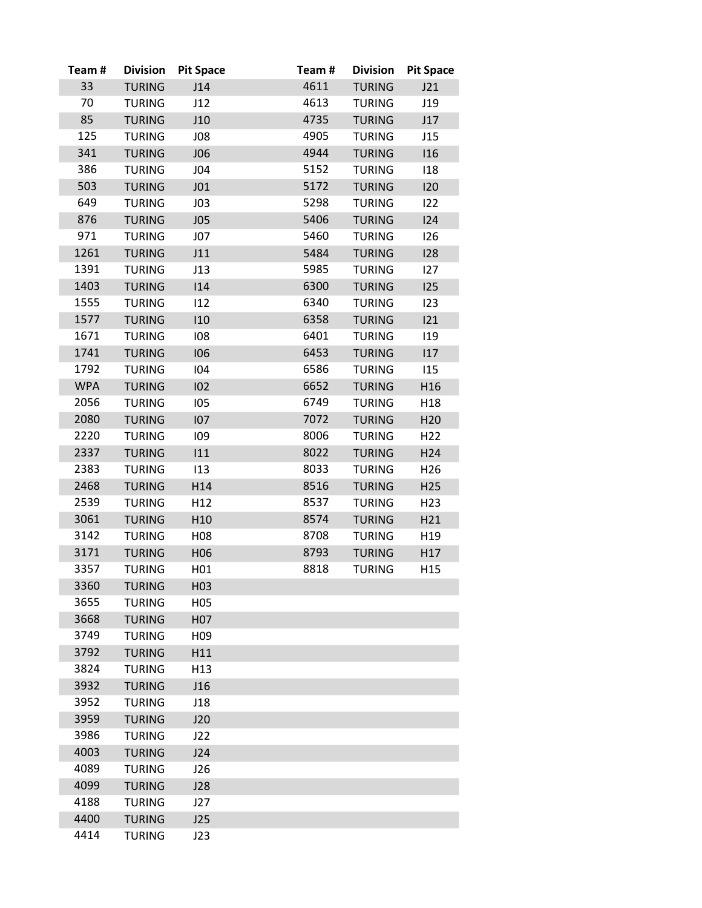| Team#      | <b>Division</b> | <b>Pit Space</b> | Team# | <b>Division</b> | <b>Pit Space</b> |
|------------|-----------------|------------------|-------|-----------------|------------------|
| 33         | <b>TURING</b>   | J14              | 4611  | <b>TURING</b>   | J21              |
| 70         | <b>TURING</b>   | J12              | 4613  | <b>TURING</b>   | J19              |
| 85         | <b>TURING</b>   | J10              | 4735  | <b>TURING</b>   | J17              |
| 125        | <b>TURING</b>   | J08              | 4905  | <b>TURING</b>   | J15              |
| 341        | <b>TURING</b>   | <b>JO6</b>       | 4944  | <b>TURING</b>   | 116              |
| 386        | <b>TURING</b>   | J04              | 5152  | <b>TURING</b>   | 118              |
| 503        | <b>TURING</b>   | J01              | 5172  | <b>TURING</b>   | 120              |
| 649        | <b>TURING</b>   | J <sub>03</sub>  | 5298  | <b>TURING</b>   | 122              |
| 876        | <b>TURING</b>   | J05              | 5406  | <b>TURING</b>   | 124              |
| 971        | <b>TURING</b>   | J07              | 5460  | <b>TURING</b>   | 126              |
| 1261       | <b>TURING</b>   | J11              | 5484  | <b>TURING</b>   | 128              |
| 1391       | <b>TURING</b>   | J13              | 5985  | <b>TURING</b>   | 127              |
| 1403       | <b>TURING</b>   | 114              | 6300  | <b>TURING</b>   | 125              |
| 1555       | <b>TURING</b>   | 112              | 6340  | <b>TURING</b>   | 123              |
| 1577       | <b>TURING</b>   | 110              | 6358  | <b>TURING</b>   | 121              |
| 1671       | <b>TURING</b>   | 108              | 6401  | <b>TURING</b>   | 119              |
| 1741       | <b>TURING</b>   | 106              | 6453  | <b>TURING</b>   | 117              |
| 1792       | <b>TURING</b>   | 104              | 6586  | <b>TURING</b>   | 115              |
| <b>WPA</b> | <b>TURING</b>   | 102              | 6652  | <b>TURING</b>   | H16              |
| 2056       | <b>TURING</b>   | 105              | 6749  | <b>TURING</b>   | H <sub>18</sub>  |
| 2080       | <b>TURING</b>   | 107              | 7072  | <b>TURING</b>   | H <sub>20</sub>  |
| 2220       | <b>TURING</b>   | 109              | 8006  | <b>TURING</b>   | H <sub>22</sub>  |
| 2337       | <b>TURING</b>   | 111              | 8022  | <b>TURING</b>   | H <sub>24</sub>  |
| 2383       | <b>TURING</b>   | 113              | 8033  | <b>TURING</b>   | H <sub>26</sub>  |
| 2468       | <b>TURING</b>   | H14              | 8516  | <b>TURING</b>   | H <sub>25</sub>  |
| 2539       | <b>TURING</b>   | H12              | 8537  | <b>TURING</b>   | H <sub>23</sub>  |
| 3061       | <b>TURING</b>   | H <sub>10</sub>  | 8574  | <b>TURING</b>   | H21              |
| 3142       | <b>TURING</b>   | H08              | 8708  | <b>TURING</b>   | H <sub>19</sub>  |
| 3171       | <b>TURING</b>   | H06              | 8793  | <b>TURING</b>   | H17              |
| 3357       | <b>TURING</b>   | H <sub>01</sub>  | 8818  | <b>TURING</b>   | H <sub>15</sub>  |
| 3360       | <b>TURING</b>   | H <sub>03</sub>  |       |                 |                  |
| 3655       | <b>TURING</b>   | H <sub>05</sub>  |       |                 |                  |
| 3668       | <b>TURING</b>   | H07              |       |                 |                  |
| 3749       | <b>TURING</b>   | H <sub>09</sub>  |       |                 |                  |
| 3792       | <b>TURING</b>   | H11              |       |                 |                  |
| 3824       | <b>TURING</b>   | H <sub>13</sub>  |       |                 |                  |
| 3932       | <b>TURING</b>   | J16              |       |                 |                  |
| 3952       | TURING          | J18              |       |                 |                  |
| 3959       | <b>TURING</b>   | J20              |       |                 |                  |
| 3986       | <b>TURING</b>   | J22              |       |                 |                  |
| 4003       | <b>TURING</b>   | J24              |       |                 |                  |
| 4089       | <b>TURING</b>   | J26              |       |                 |                  |
| 4099       | <b>TURING</b>   | J28              |       |                 |                  |
| 4188       | <b>TURING</b>   | J27              |       |                 |                  |
| 4400       | <b>TURING</b>   | J25              |       |                 |                  |
| 4414       | <b>TURING</b>   | J23              |       |                 |                  |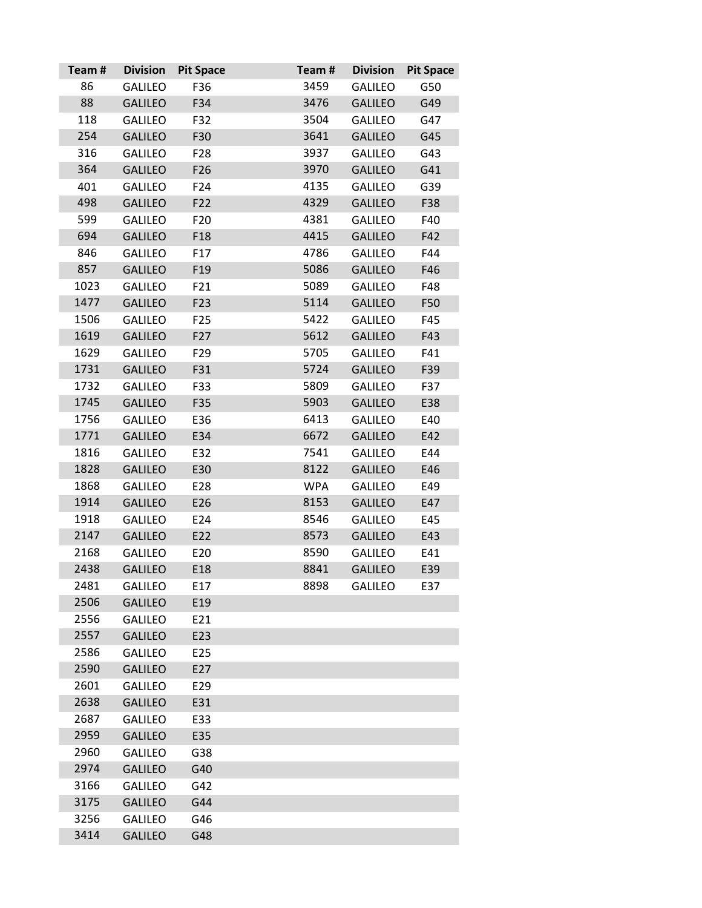| Team# | <b>Division</b> | <b>Pit Space</b> | Team#      | <b>Division</b> | <b>Pit Space</b> |
|-------|-----------------|------------------|------------|-----------------|------------------|
| 86    | <b>GALILEO</b>  | F36              | 3459       | <b>GALILEO</b>  | G50              |
| 88    | <b>GALILEO</b>  | F34              | 3476       | <b>GALILEO</b>  | G49              |
| 118   | <b>GALILEO</b>  | F32              | 3504       | <b>GALILEO</b>  | G47              |
| 254   | <b>GALILEO</b>  | F30              | 3641       | <b>GALILEO</b>  | G45              |
| 316   | <b>GALILEO</b>  | F <sub>28</sub>  | 3937       | <b>GALILEO</b>  | G43              |
| 364   | <b>GALILEO</b>  | F <sub>26</sub>  | 3970       | <b>GALILEO</b>  | G41              |
| 401   | <b>GALILEO</b>  | F24              | 4135       | <b>GALILEO</b>  | G39              |
| 498   | <b>GALILEO</b>  | F22              | 4329       | <b>GALILEO</b>  | F38              |
| 599   | <b>GALILEO</b>  | F <sub>20</sub>  | 4381       | <b>GALILEO</b>  | F40              |
| 694   | <b>GALILEO</b>  | F18              | 4415       | <b>GALILEO</b>  | F42              |
| 846   | GALILEO         | F17              | 4786       | <b>GALILEO</b>  | F44              |
| 857   | <b>GALILEO</b>  | F <sub>19</sub>  | 5086       | <b>GALILEO</b>  | F46              |
| 1023  | <b>GALILEO</b>  | F21              | 5089       | <b>GALILEO</b>  | F48              |
| 1477  | <b>GALILEO</b>  | F <sub>23</sub>  | 5114       | <b>GALILEO</b>  | F50              |
| 1506  | <b>GALILEO</b>  | F <sub>25</sub>  | 5422       | <b>GALILEO</b>  | F45              |
| 1619  | <b>GALILEO</b>  | F27              | 5612       | <b>GALILEO</b>  | F43              |
| 1629  | <b>GALILEO</b>  | F <sub>29</sub>  | 5705       | <b>GALILEO</b>  | F41              |
| 1731  | <b>GALILEO</b>  | F31              | 5724       | <b>GALILEO</b>  | F39              |
| 1732  | <b>GALILEO</b>  | F33              | 5809       | <b>GALILEO</b>  | F37              |
| 1745  | <b>GALILEO</b>  | F35              | 5903       | <b>GALILEO</b>  | E38              |
| 1756  | <b>GALILEO</b>  | E36              | 6413       | <b>GALILEO</b>  | E40              |
| 1771  | <b>GALILEO</b>  | E34              | 6672       | <b>GALILEO</b>  | E42              |
| 1816  | <b>GALILEO</b>  | E32              | 7541       | <b>GALILEO</b>  | E44              |
| 1828  | <b>GALILEO</b>  | E30              | 8122       | <b>GALILEO</b>  | E46              |
| 1868  | <b>GALILEO</b>  | E28              | <b>WPA</b> | <b>GALILEO</b>  | E49              |
| 1914  | <b>GALILEO</b>  | E26              | 8153       | <b>GALILEO</b>  | E47              |
| 1918  | <b>GALILEO</b>  | E24              | 8546       | <b>GALILEO</b>  | E45              |
| 2147  | <b>GALILEO</b>  | E22              | 8573       | <b>GALILEO</b>  | E43              |
| 2168  | <b>GALILEO</b>  | E20              | 8590       | <b>GALILEO</b>  | E41              |
| 2438  | <b>GALILEO</b>  | E18              | 8841       | <b>GALILEO</b>  | E39              |
| 2481  | <b>GALILEO</b>  | E17              | 8898       | <b>GALILEO</b>  | E37              |
| 2506  | <b>GALILEO</b>  | E19              |            |                 |                  |
| 2556  | <b>GALILEO</b>  | E21              |            |                 |                  |
| 2557  | <b>GALILEO</b>  | E23              |            |                 |                  |
| 2586  | <b>GALILEO</b>  | E <sub>25</sub>  |            |                 |                  |
| 2590  | <b>GALILEO</b>  | E27              |            |                 |                  |
| 2601  | <b>GALILEO</b>  | E29              |            |                 |                  |
| 2638  | <b>GALILEO</b>  | E31              |            |                 |                  |
| 2687  | <b>GALILEO</b>  | E33              |            |                 |                  |
| 2959  | <b>GALILEO</b>  | E35              |            |                 |                  |
| 2960  | <b>GALILEO</b>  | G38              |            |                 |                  |
| 2974  | <b>GALILEO</b>  | G40              |            |                 |                  |
| 3166  | <b>GALILEO</b>  | G42              |            |                 |                  |
| 3175  | <b>GALILEO</b>  | G44              |            |                 |                  |
| 3256  | <b>GALILEO</b>  | G46              |            |                 |                  |
| 3414  | <b>GALILEO</b>  | G48              |            |                 |                  |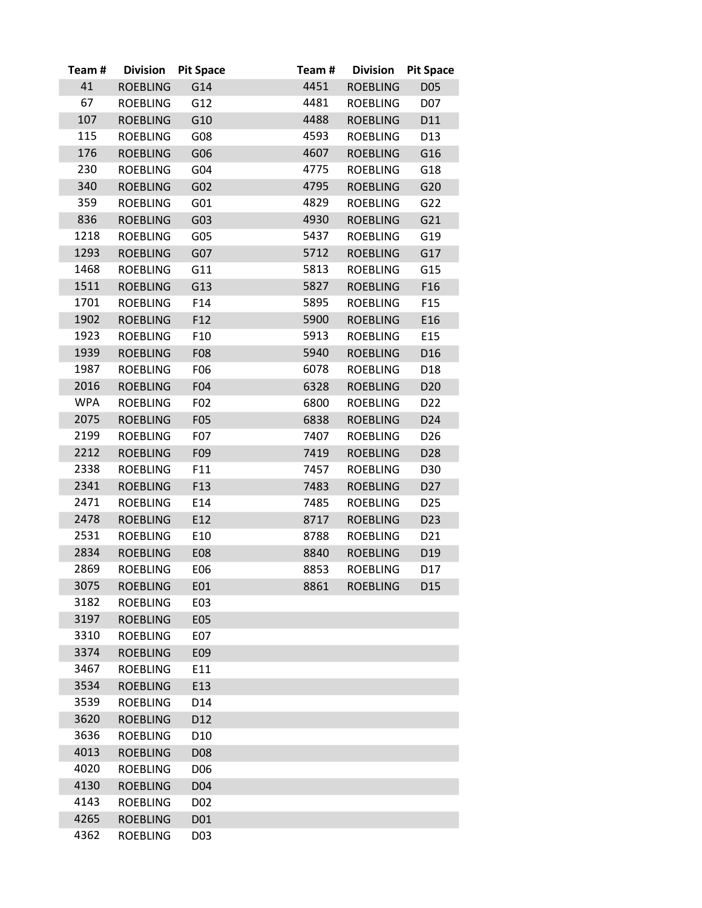| Team#      | <b>Division</b> | <b>Pit Space</b> | Team# | <b>Division</b> | <b>Pit Space</b> |
|------------|-----------------|------------------|-------|-----------------|------------------|
| 41         | <b>ROEBLING</b> | G14              | 4451  | <b>ROEBLING</b> | D05              |
| 67         | <b>ROEBLING</b> | G12              | 4481  | <b>ROEBLING</b> | D07              |
| 107        | <b>ROEBLING</b> | G10              | 4488  | <b>ROEBLING</b> | D11              |
| 115        | <b>ROEBLING</b> | G08              | 4593  | <b>ROEBLING</b> | D13              |
| 176        | <b>ROEBLING</b> | G06              | 4607  | <b>ROEBLING</b> | G16              |
| 230        | <b>ROEBLING</b> | G <sub>04</sub>  | 4775  | <b>ROEBLING</b> | G18              |
| 340        | <b>ROEBLING</b> | G <sub>02</sub>  | 4795  | <b>ROEBLING</b> | G20              |
| 359        | <b>ROEBLING</b> | G01              | 4829  | <b>ROEBLING</b> | G22              |
| 836        | <b>ROEBLING</b> | G03              | 4930  | <b>ROEBLING</b> | G21              |
| 1218       | <b>ROEBLING</b> | G05              | 5437  | <b>ROEBLING</b> | G19              |
| 1293       | <b>ROEBLING</b> | G07              | 5712  | <b>ROEBLING</b> | G17              |
| 1468       | <b>ROEBLING</b> | G11              | 5813  | <b>ROEBLING</b> | G15              |
| 1511       | <b>ROEBLING</b> | G13              | 5827  | <b>ROEBLING</b> | F16              |
| 1701       | <b>ROEBLING</b> | F14              | 5895  | <b>ROEBLING</b> | F <sub>15</sub>  |
| 1902       | <b>ROEBLING</b> | F12              | 5900  | <b>ROEBLING</b> | E16              |
| 1923       | <b>ROEBLING</b> | F10              | 5913  | <b>ROEBLING</b> | E15              |
| 1939       | <b>ROEBLING</b> | F08              | 5940  | <b>ROEBLING</b> | D16              |
| 1987       | <b>ROEBLING</b> | F06              | 6078  | <b>ROEBLING</b> | D18              |
| 2016       | <b>ROEBLING</b> | F04              | 6328  | <b>ROEBLING</b> | D <sub>20</sub>  |
| <b>WPA</b> | <b>ROEBLING</b> | F02              | 6800  | <b>ROEBLING</b> | D <sub>22</sub>  |
| 2075       | <b>ROEBLING</b> | F05              | 6838  | <b>ROEBLING</b> | D24              |
| 2199       | <b>ROEBLING</b> | F <sub>0</sub> 7 | 7407  | <b>ROEBLING</b> | D <sub>26</sub>  |
| 2212       | <b>ROEBLING</b> | F09              | 7419  | <b>ROEBLING</b> | D <sub>28</sub>  |
| 2338       | <b>ROEBLING</b> | F11              | 7457  | <b>ROEBLING</b> | D30              |
| 2341       | <b>ROEBLING</b> | F13              | 7483  | <b>ROEBLING</b> | D <sub>27</sub>  |
| 2471       | <b>ROEBLING</b> | E14              | 7485  | <b>ROEBLING</b> | D <sub>25</sub>  |
| 2478       | <b>ROEBLING</b> | E12              | 8717  | <b>ROEBLING</b> | D <sub>23</sub>  |
| 2531       | <b>ROEBLING</b> | E10              | 8788  | <b>ROEBLING</b> | D21              |
| 2834       | <b>ROEBLING</b> | E08              | 8840  | <b>ROEBLING</b> | D19              |
| 2869       | <b>ROEBLING</b> | E06              | 8853  | <b>ROEBLING</b> | D17              |
| 3075       | <b>ROEBLING</b> | E01              | 8861  | <b>ROEBLING</b> | D <sub>15</sub>  |
| 3182       | <b>ROEBLING</b> | E03              |       |                 |                  |
| 3197       | <b>ROEBLING</b> | E05              |       |                 |                  |
| 3310       | <b>ROEBLING</b> | E07              |       |                 |                  |
| 3374       | <b>ROEBLING</b> | E09              |       |                 |                  |
| 3467       | <b>ROEBLING</b> | E11              |       |                 |                  |
| 3534       | <b>ROEBLING</b> | E13              |       |                 |                  |
| 3539       | <b>ROEBLING</b> | D14              |       |                 |                  |
| 3620       | <b>ROEBLING</b> | D <sub>12</sub>  |       |                 |                  |
| 3636       | <b>ROEBLING</b> | D <sub>10</sub>  |       |                 |                  |
| 4013       | <b>ROEBLING</b> | D08              |       |                 |                  |
| 4020       | <b>ROEBLING</b> | D06              |       |                 |                  |
| 4130       | <b>ROEBLING</b> | D04              |       |                 |                  |
| 4143       | <b>ROEBLING</b> | D <sub>02</sub>  |       |                 |                  |
| 4265       | <b>ROEBLING</b> | D01              |       |                 |                  |
| 4362       | <b>ROEBLING</b> | D03              |       |                 |                  |